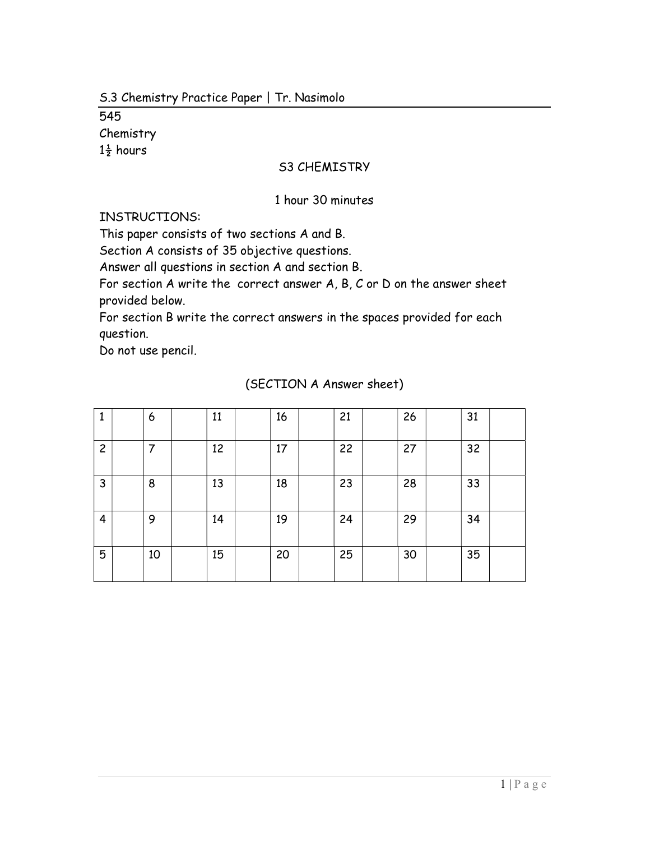545 Chemistry  $1\frac{1}{2}$  hours

#### S3 CHEMISTRY

#### 1 hour 30 minutes

INSTRUCTIONS:

This paper consists of two sections A and B.

Section A consists of 35 objective questions.

Answer all questions in section A and section B.

For section A write the correct answer A, B, C or D on the answer sheet provided below.

For section B write the correct answers in the spaces provided for each question.

Do not use pencil.

| 1              | 6  | 11 | 16 | 21 | 26 | 31 |  |
|----------------|----|----|----|----|----|----|--|
| $\overline{c}$ | 7  | 12 | 17 | 22 | 27 | 32 |  |
| 3              | 8  | 13 | 18 | 23 | 28 | 33 |  |
| $\overline{4}$ | 9  | 14 | 19 | 24 | 29 | 34 |  |
| 5              | 10 | 15 | 20 | 25 | 30 | 35 |  |

### (SECTION A Answer sheet)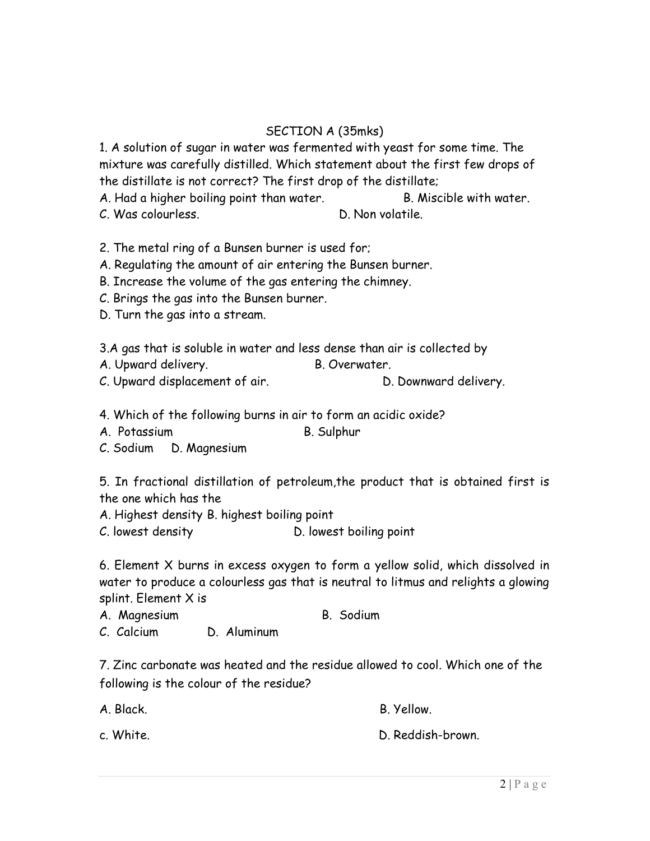# SECTION A (35mks)

1. A solution of sugar in water was fermented with yeast for some time. The mixture was carefully distilled. Which statement about the first few drops of the distillate is not correct? The first drop of the distillate;

A. Had a higher boiling point than water. B. Miscible with water. C. Was colourless. D. Non volatile.

2. The metal ring of a Bunsen burner is used for;

A. Regulating the amount of air entering the Bunsen burner.

B. Increase the volume of the gas entering the chimney.

C. Brings the gas into the Bunsen burner.

D. Turn the gas into a stream.

3.A gas that is soluble in water and less dense than air is collected by

A. Upward delivery. B. Overwater.

C. Upward displacement of air. D. Downward delivery.

4. Which of the following burns in air to form an acidic oxide?

A. Potassium B. Sulphur

C. Sodium D. Magnesium

5. In fractional distillation of petroleum,the product that is obtained first is the one which has the

A. Highest density B. highest boiling point

C. lowest density D. lowest boiling point

6. Element X burns in excess oxygen to form a yellow solid, which dissolved in water to produce a colourless gas that is neutral to litmus and relights a glowing splint. Element X is

A. Magnesium B. Sodium

C. Calcium D. Aluminum

7. Zinc carbonate was heated and the residue allowed to cool. Which one of the following is the colour of the residue?

A. Black. B. Yellow.

c. White. D. Reddish-brown.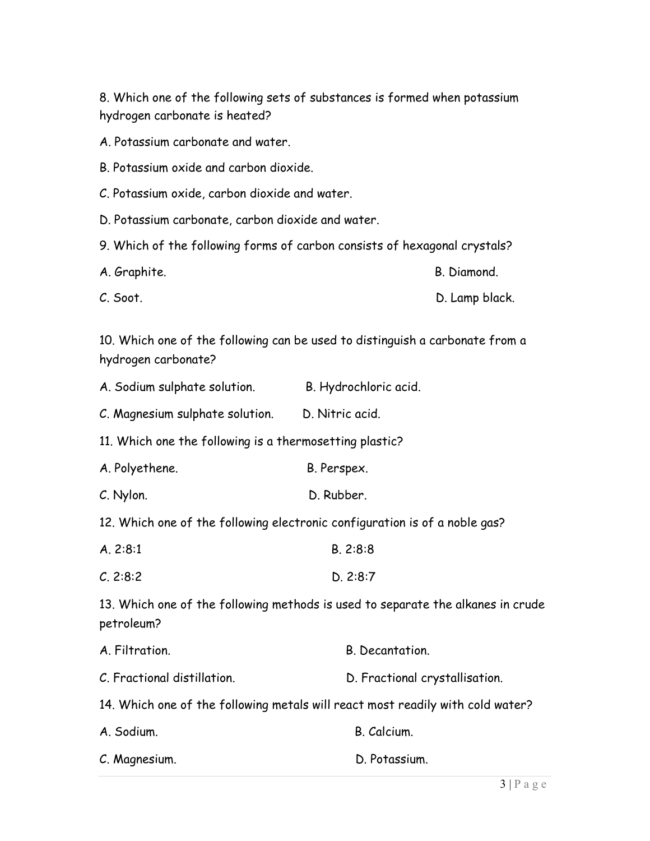8. Which one of the following sets of substances is formed when potassium hydrogen carbonate is heated?

A. Potassium carbonate and water.

- B. Potassium oxide and carbon dioxide.
- C. Potassium oxide, carbon dioxide and water.
- D. Potassium carbonate, carbon dioxide and water.
- 9. Which of the following forms of carbon consists of hexagonal crystals?
- A. Graphite. **B. Diamond.**
- C. Soot. D. Lamp black.

10. Which one of the following can be used to distinguish a carbonate from a hydrogen carbonate?

| A. Sodium sulphate solution. | B. Hydrochloric acid. |
|------------------------------|-----------------------|
|------------------------------|-----------------------|

C. Magnesium sulphate solution. D. Nitric acid.

11. Which one the following is a thermosetting plastic?

- A. Polyethene. B. Perspex.
- C. Nylon. D. Rubber.

12. Which one of the following electronic configuration is of a noble gas?

- A. 2:8:1 B. 2:8:8
- C. 2:8:2 D. 2:8:7

13. Which one of the following methods is used to separate the alkanes in crude petroleum?

| A. Filtration.                                                                                             | B. Decantation.                |  |  |  |
|------------------------------------------------------------------------------------------------------------|--------------------------------|--|--|--|
| C. Fractional distillation.                                                                                | D. Fractional crystallisation. |  |  |  |
| امین امامه وابتنین برازامهم و به موسط موجود الزبیر مامنهم میرون برابریگرم و مانند کرد. میرون ماه زمان ۱۸ ک |                                |  |  |  |

|  | 14. Which one of the following metals will react most readily with cold water? |  |  |  |  |  |  |  |  |  |  |
|--|--------------------------------------------------------------------------------|--|--|--|--|--|--|--|--|--|--|
|--|--------------------------------------------------------------------------------|--|--|--|--|--|--|--|--|--|--|

| A. Sodium.    | B. Calcium.   |
|---------------|---------------|
| C. Magnesium. | D. Potassium. |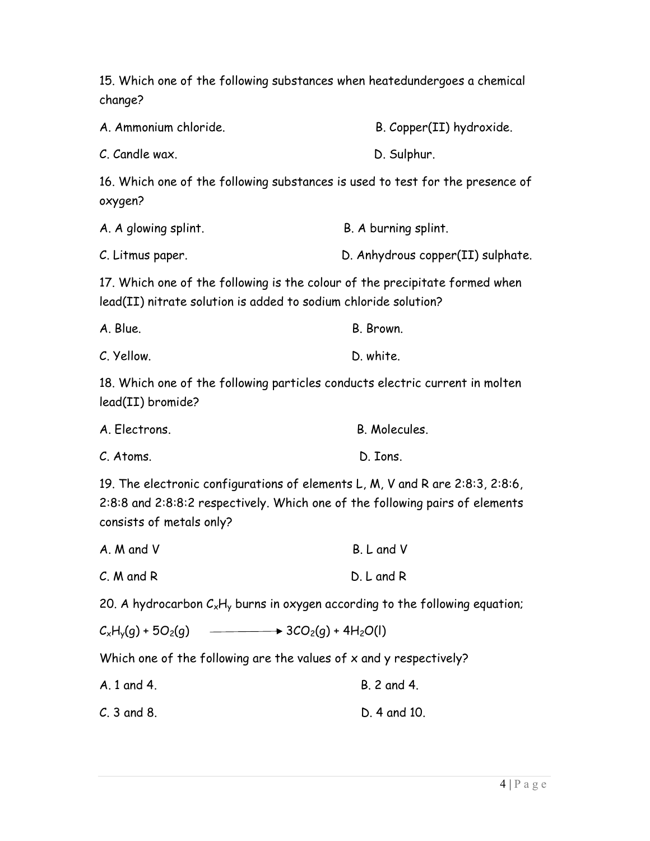15. Which one of the following substances when heatedundergoes a chemical change? A. Ammonium chloride. B. Copper(II) hydroxide. C. Candle wax. D. Sulphur. 16. Which one of the following substances is used to test for the presence of oxygen? A. A glowing splint. A summing splint. C. Litmus paper. D. Anhydrous copper(II) sulphate. 17. Which one of the following is the colour of the precipitate formed when lead(II) nitrate solution is added to sodium chloride solution? A. Blue. B. Brown. C. Yellow. D. white. 18. Which one of the following particles conducts electric current in molten lead(II) bromide? A. Flectrons. **B. Molecules** C. Atoms. D. Ions. 19. The electronic configurations of elements L, M, V and R are 2:8:3, 2:8:6, 2:8:8 and 2:8:8:2 respectively. Which one of the following pairs of elements consists of metals only? A. M and V B. L and V C. M and R D. L and R 20. A hydrocarbon  $C_xH_y$  burns in oxygen according to the following equation;  $C_xH_y(q) + 5O_2(q)$   $\longrightarrow$  3CO<sub>2</sub>(g) + 4H<sub>2</sub>O(l) Which one of the following are the values of x and y respectively? A. 1 and 4. B. 2 and 4. C. 3 and 8. D. 4 and 10.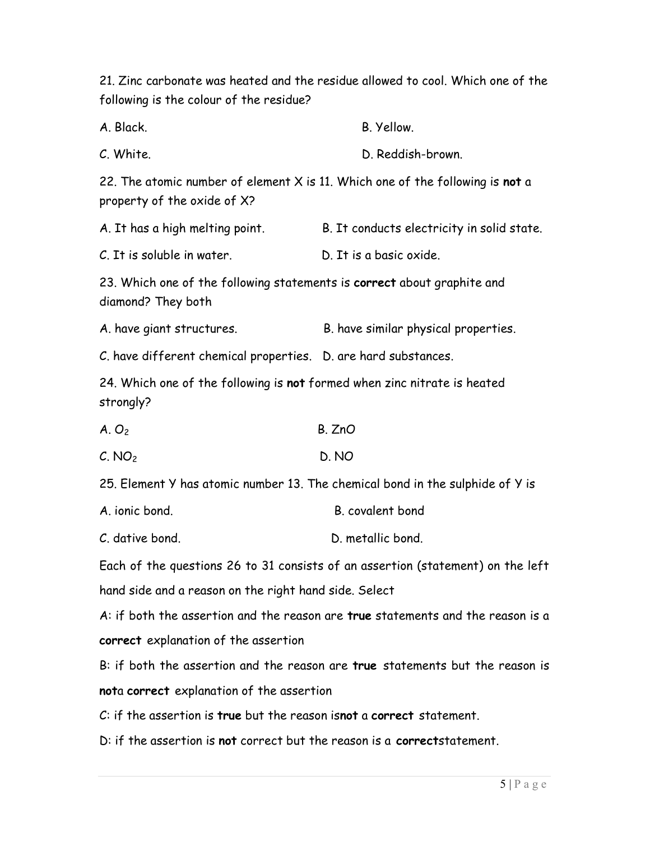21. Zinc carbonate was heated and the residue allowed to cool. Which one of the following is the colour of the residue?

A. Black. B. Yellow. C. White. D. Reddish-brown. 22. The atomic number of element  $X$  is 11. Which one of the following is not a property of the oxide of X? A. It has a high melting point. B. It conducts electricity in solid state. C. It is soluble in water. D. It is a basic oxide. 23. Which one of the following statements is correct about graphite and diamond? They both A. have giant structures. B. have similar physical properties. C. have different chemical properties. D. are hard substances. 24. Which one of the following is not formed when zinc nitrate is heated strongly?  $A. O<sub>2</sub>$  B. ZnO  $C. NO<sub>2</sub>$  D. NO 25. Element Y has atomic number 13. The chemical bond in the sulphide of Y is

A ionic bond B covalent bond

C. dative bond. D. metallic bond.

Each of the questions 26 to 31 consists of an assertion (statement) on the left hand side and a reason on the right hand side. Select

A: if both the assertion and the reason are true statements and the reason is a correct explanation of the assertion

B: if both the assertion and the reason are true statements but the reason is nota correct explanation of the assertion

C: if the assertion is true but the reason isnot a correct statement.

D: if the assertion is not correct but the reason is a correctstatement.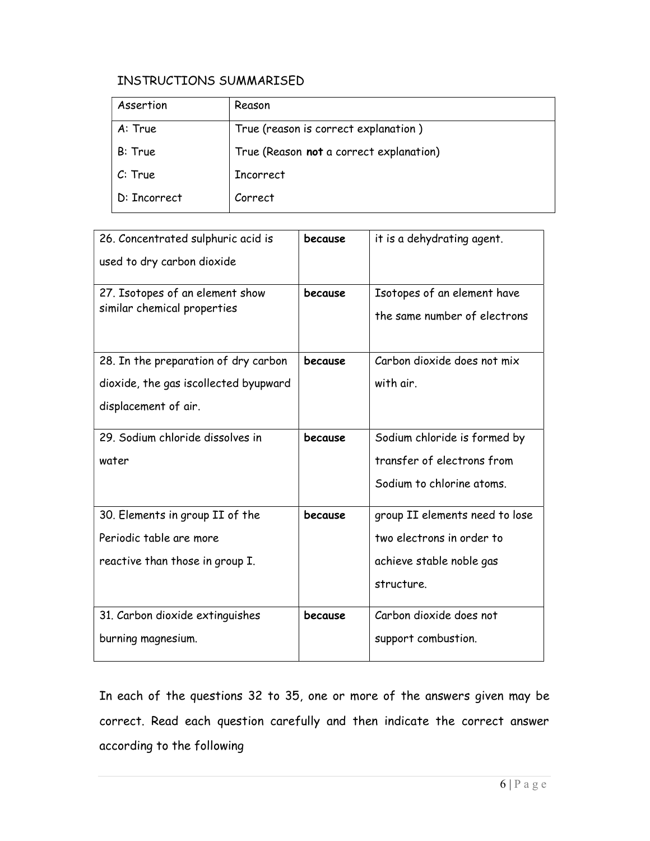## INSTRUCTIONS SUMMARISED

| Assertion    | Reason                                  |
|--------------|-----------------------------------------|
| A: True      | True (reason is correct explanation)    |
| B: True      | True (Reason not a correct explanation) |
| C: True      | <b>Incorrect</b>                        |
| D: Incorrect | Correct                                 |

| 26. Concentrated sulphuric acid is<br>used to dry carbon dioxide                                      | because | it is a dehydrating agent.                                                                            |
|-------------------------------------------------------------------------------------------------------|---------|-------------------------------------------------------------------------------------------------------|
| 27. Isotopes of an element show<br>similar chemical properties                                        | because | Isotopes of an element have<br>the same number of electrons                                           |
| 28. In the preparation of dry carbon<br>dioxide, the gas iscollected byupward<br>displacement of air. | because | Carbon dioxide does not mix<br>with air.                                                              |
| 29. Sodium chloride dissolves in<br>water                                                             | because | Sodium chloride is formed by<br>transfer of electrons from<br>Sodium to chlorine atoms.               |
| 30. Elements in group II of the<br>Periodic table are more<br>reactive than those in group I.         | because | group II elements need to lose<br>two electrons in order to<br>achieve stable noble gas<br>structure. |
| 31. Carbon dioxide extinguishes<br>burning magnesium.                                                 | because | Carbon dioxide does not<br>support combustion.                                                        |

In each of the questions 32 to 35, one or more of the answers given may be correct. Read each question carefully and then indicate the correct answer according to the following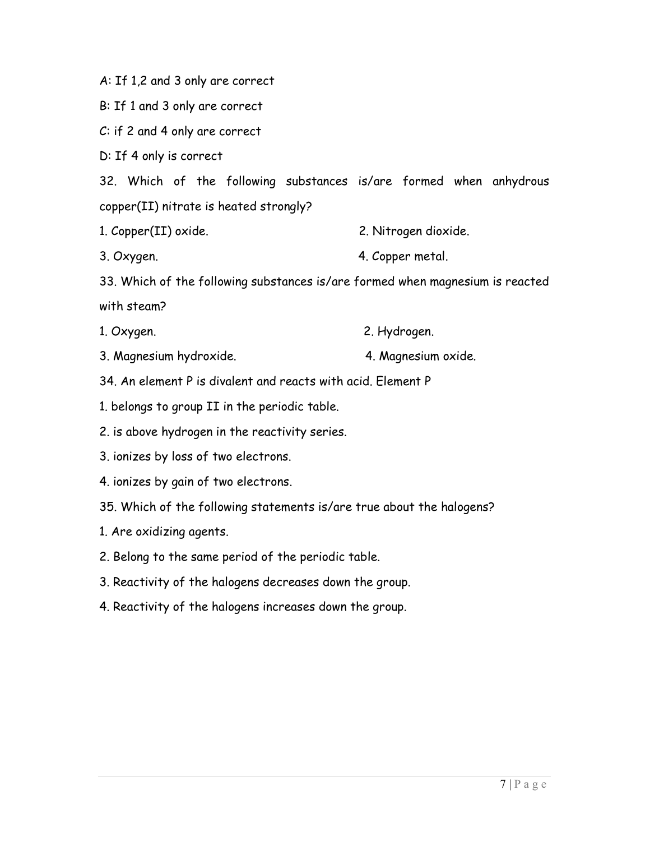A: If 1,2 and 3 only are correct

B: If 1 and 3 only are correct

C: if 2 and 4 only are correct

D: If 4 only is correct

32. Which of the following substances is/are formed when anhydrous copper(II) nitrate is heated strongly?

- 1. Copper(II) oxide. 2. Nitrogen dioxide.
- 3. Oxygen. 4. Copper metal.

33. Which of the following substances is/are formed when magnesium is reacted with steam?

- 1. Oxygen. 2. Hydrogen.
- 3. Magnesium hydroxide. 4. Magnesium oxide.
- 34. An element P is divalent and reacts with acid. Element P
- 1. belongs to group II in the periodic table.
- 2. is above hydrogen in the reactivity series.
- 3. ionizes by loss of two electrons.
- 4. ionizes by gain of two electrons.
- 35. Which of the following statements is/are true about the halogens?
- 1. Are oxidizing agents.
- 2. Belong to the same period of the periodic table.
- 3. Reactivity of the halogens decreases down the group.
- 4. Reactivity of the halogens increases down the group.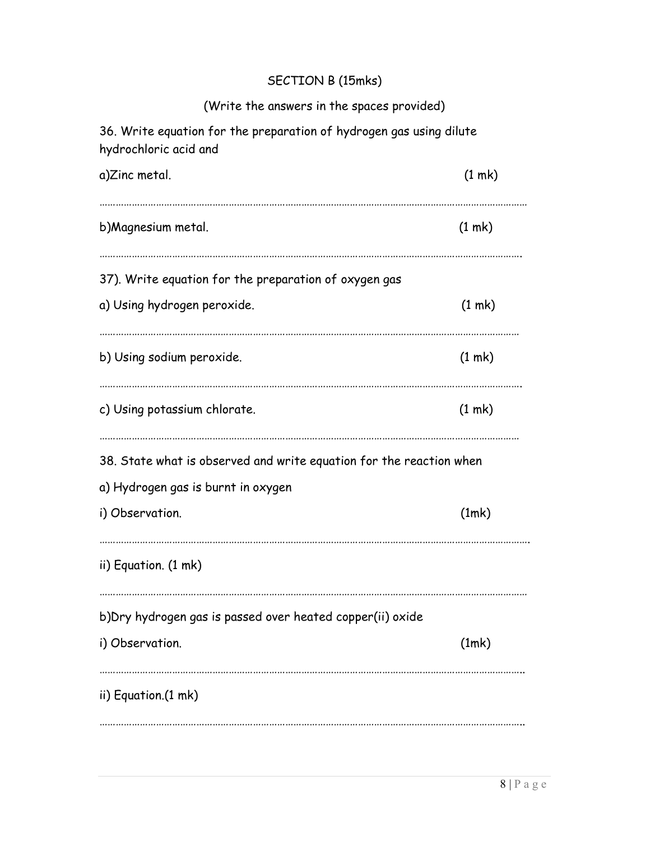# SECTION B (15mks)

| (Write the answers in the spaces provided)                                                   |  |  |  |  |  |
|----------------------------------------------------------------------------------------------|--|--|--|--|--|
| 36. Write equation for the preparation of hydrogen gas using dilute<br>hydrochloric acid and |  |  |  |  |  |
| (1 m k)                                                                                      |  |  |  |  |  |
| (1 m k)                                                                                      |  |  |  |  |  |
|                                                                                              |  |  |  |  |  |
| (1 m k)                                                                                      |  |  |  |  |  |
| (1 m k)                                                                                      |  |  |  |  |  |
| (1 m k)                                                                                      |  |  |  |  |  |
| 38. State what is observed and write equation for the reaction when                          |  |  |  |  |  |
|                                                                                              |  |  |  |  |  |
| (1mk)                                                                                        |  |  |  |  |  |
|                                                                                              |  |  |  |  |  |
|                                                                                              |  |  |  |  |  |
| (1mk)                                                                                        |  |  |  |  |  |
|                                                                                              |  |  |  |  |  |
|                                                                                              |  |  |  |  |  |